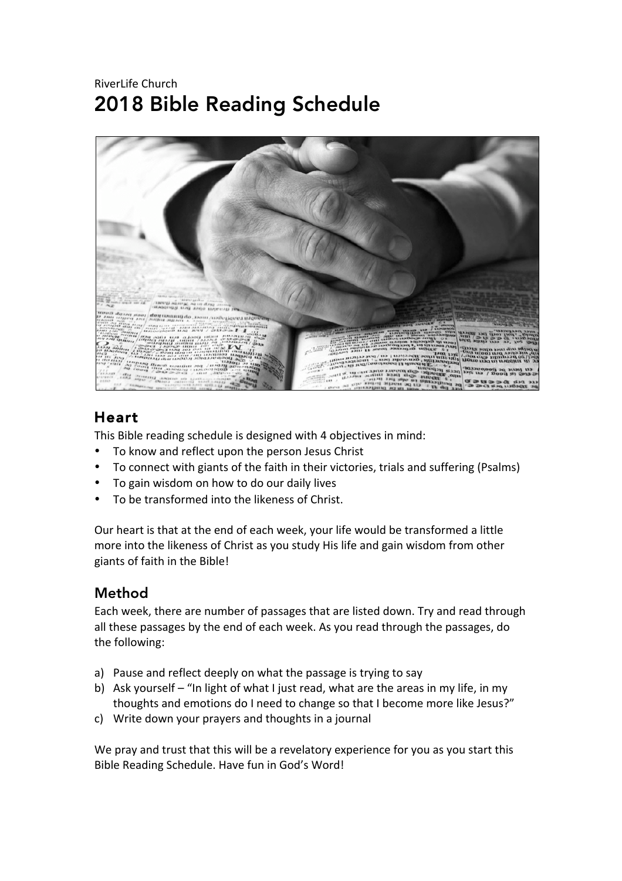## RiverLife Church 2018 Bible Reading Schedule



## Heart

This Bible reading schedule is designed with 4 objectives in mind:

- To know and reflect upon the person Jesus Christ
- To connect with giants of the faith in their victories, trials and suffering (Psalms)
- To gain wisdom on how to do our daily lives
- To be transformed into the likeness of Christ.

Our heart is that at the end of each week, your life would be transformed a little more into the likeness of Christ as you study His life and gain wisdom from other giants of faith in the Bible!

#### Method

Each week, there are number of passages that are listed down. Try and read through all these passages by the end of each week. As you read through the passages, do the following:

- a) Pause and reflect deeply on what the passage is trying to say
- b) Ask yourself "In light of what I just read, what are the areas in my life, in my thoughts and emotions do I need to change so that I become more like Jesus?"
- c) Write down your prayers and thoughts in a journal

We pray and trust that this will be a revelatory experience for you as you start this Bible Reading Schedule. Have fun in God's Word!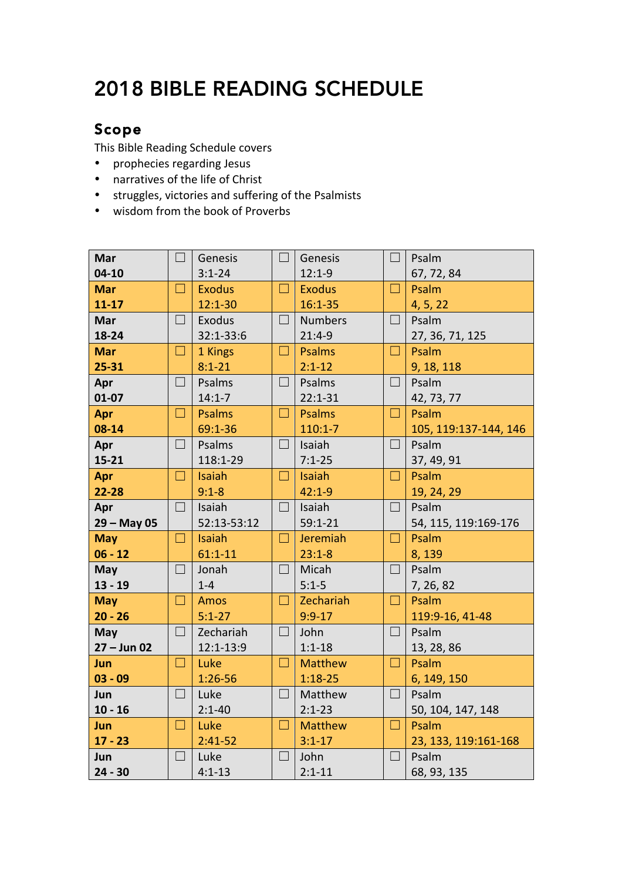# 2018 BIBLE READING SCHEDULE

### Scope

This Bible Reading Schedule covers

- prophecies regarding Jesus
- narratives of the life of Christ
- struggles, victories and suffering of the Psalmists
- wisdom from the book of Proverbs

| <b>Mar</b>    | $\blacksquare$ | Genesis       | $\Box$            | Genesis        | $\Box$ | Psalm                 |
|---------------|----------------|---------------|-------------------|----------------|--------|-----------------------|
| $04-10$       |                | $3:1 - 24$    |                   | $12:1-9$       |        | 67, 72, 84            |
| <b>Mar</b>    | П              | <b>Exodus</b> | $\Box$            | <b>Exodus</b>  | $\Box$ | Psalm                 |
| $11 - 17$     |                | $12:1 - 30$   |                   | $16:1 - 35$    |        | 4, 5, 22              |
| <b>Mar</b>    | $\Box$         | Exodus        | $\Box$            | <b>Numbers</b> | $\Box$ | Psalm                 |
| 18-24         |                | 32:1-33:6     |                   | $21:4-9$       |        | 27, 36, 71, 125       |
| <b>Mar</b>    | $\Box$         | 1 Kings       | $\Box$            | <b>Psalms</b>  | $\Box$ | Psalm                 |
| $25 - 31$     |                | $8:1 - 21$    |                   | $2:1 - 12$     |        | 9, 18, 118            |
| Apr           | $\Box$         | Psalms        | $\Box$            | Psalms         | $\Box$ | Psalm                 |
| $01 - 07$     |                | $14:1 - 7$    |                   | $22:1 - 31$    |        | 42, 73, 77            |
| Apr           | н              | <b>Psalms</b> | $\Box$            | <b>Psalms</b>  | $\Box$ | Psalm                 |
| 08-14         |                | 69:1-36       |                   | $110:1 - 7$    |        | 105, 119:137-144, 146 |
| Apr           | $\Box$         | Psalms        | $\Box$            | Isaiah         | $\Box$ | Psalm                 |
| $15 - 21$     |                | 118:1-29      |                   | $7:1 - 25$     |        | 37, 49, 91            |
| Apr           | $\Box$         | Isaiah        | $\Box$            | <b>Isaiah</b>  | $\Box$ | Psalm                 |
| $22 - 28$     |                | $9:1 - 8$     |                   | $42:1 - 9$     |        | 19, 24, 29            |
| Apr           | $\Box$         | Isaiah        | $\Box$            | Isaiah         | $\Box$ | Psalm                 |
| $29 - May 05$ |                | 52:13-53:12   |                   | $59:1 - 21$    |        | 54, 115, 119:169-176  |
| <b>May</b>    | $\Box$         | <b>Isaiah</b> | $\Box$            | Jeremiah       | $\Box$ | Psalm                 |
| $06 - 12$     |                | $61:1 - 11$   |                   | $23:1 - 8$     |        | 8,139                 |
| May           | $\Box$         | Jonah         | $\vert \ \ \vert$ | Micah          | $\Box$ | Psalm                 |
| $13 - 19$     |                | $1-4$         |                   | $5:1 - 5$      |        | 7, 26, 82             |
| <b>May</b>    | $\Box$         | <b>Amos</b>   | $\Box$            | Zechariah      | $\Box$ | Psalm                 |
| $20 - 26$     |                | $5:1 - 27$    |                   | $9:9 - 17$     |        | 119:9-16, 41-48       |
| May           | $\Box$         | Zechariah     | $\Box$            | John           | $\Box$ | Psalm                 |
| $27 - Jun 02$ |                | 12:1-13:9     |                   | $1:1 - 18$     |        | 13, 28, 86            |
| Jun           | $\Box$         | Luke          | $\Box$            | <b>Matthew</b> | $\Box$ | Psalm                 |
| $03 - 09$     |                | $1:26 - 56$   |                   | $1:18 - 25$    |        | 6, 149, 150           |
| Jun           | $\Box$         | Luke          | $\Box$            | Matthew        | $\Box$ | Psalm                 |
| $10 - 16$     |                | $2:1 - 40$    |                   | $2:1 - 23$     |        | 50, 104, 147, 148     |
| Jun           | □              | Luke          | $\Box$            | <b>Matthew</b> | □      | Psalm                 |
| $17 - 23$     |                | $2:41-52$     |                   | $3:1 - 17$     |        | 23, 133, 119:161-168  |
| Jun           | $\Box$         | Luke          | $\Box$            | John           | $\Box$ | Psalm                 |
| $24 - 30$     |                | $4:1 - 13$    |                   | $2:1 - 11$     |        | 68, 93, 135           |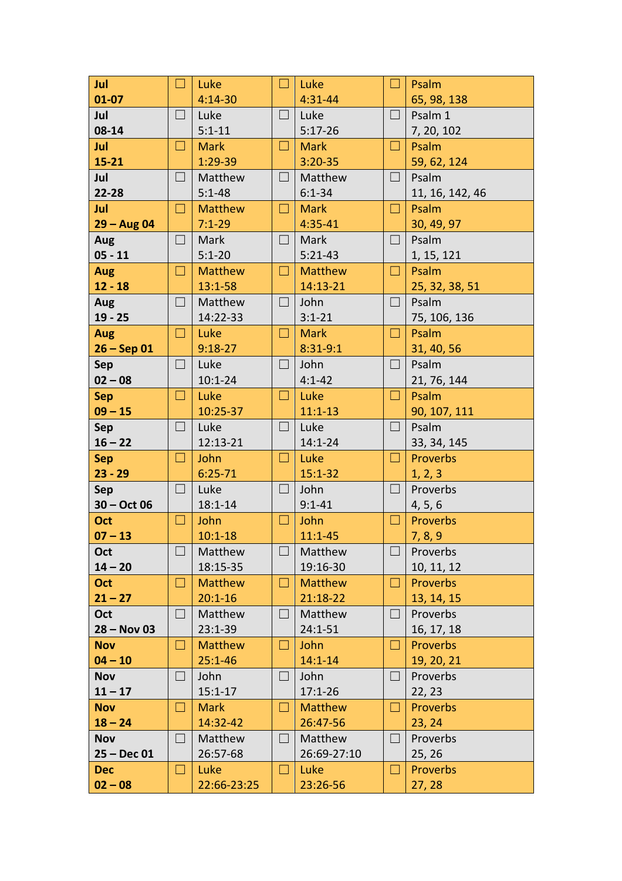| Jul           | $\Box$ | Luke           | $\Box$            | Luke           | □                 | Psalm           |
|---------------|--------|----------------|-------------------|----------------|-------------------|-----------------|
| $01 - 07$     |        | $4:14-30$      |                   | $4:31 - 44$    |                   | 65, 98, 138     |
| Jul           | $\Box$ | Luke           | $\Box$            | Luke           | $\Box$            | Psalm 1         |
| 08-14         |        | $5:1 - 11$     |                   | $5:17 - 26$    |                   | 7, 20, 102      |
| Jul           | ⊔      | <b>Mark</b>    | $\vert \ \ \vert$ | <b>Mark</b>    | Ш                 | Psalm           |
| $15 - 21$     |        | $1:29-39$      |                   | $3:20 - 35$    |                   | 59, 62, 124     |
| Jul           | $\Box$ | Matthew        | $\vert \ \ \vert$ | Matthew        | $\vert \ \ \vert$ | Psalm           |
| 22-28         |        | $5:1 - 48$     |                   | $6:1 - 34$     |                   | 11, 16, 142, 46 |
| Jul           | ⊔      | <b>Matthew</b> | $\Box$            | <b>Mark</b>    | Ш                 | Psalm           |
| $29 - Aug 04$ |        | $7:1 - 29$     |                   | $4:35 - 41$    |                   | 30, 49, 97      |
| Aug           | $\Box$ | Mark           | ⊔                 | Mark           | ⊔                 | Psalm           |
| $05 - 11$     |        | $5:1 - 20$     |                   | $5:21-43$      |                   | 1, 15, 121      |
| <b>Aug</b>    | ⊔      | <b>Matthew</b> | ⊔                 | <b>Matthew</b> | ш                 | Psalm           |
| $12 - 18$     |        | $13:1 - 58$    |                   | 14:13-21       |                   | 25, 32, 38, 51  |
| Aug           | П      | Matthew        | $\Box$            | John           | $\Box$            | Psalm           |
| $19 - 25$     |        | 14:22-33       |                   | $3:1 - 21$     |                   | 75, 106, 136    |
| <b>Aug</b>    | $\Box$ | Luke           | ⊔                 | <b>Mark</b>    | $\Box$            | Psalm           |
| $26 - Sep 01$ |        | $9:18-27$      |                   | $8:31-9:1$     |                   | 31, 40, 56      |
| Sep           | $\Box$ | Luke           | $\Box$            | John           | $\Box$            | Psalm           |
| $02 - 08$     |        | $10:1 - 24$    |                   | $4:1 - 42$     |                   | 21, 76, 144     |
| <b>Sep</b>    | ⊔      | Luke           | ⊔                 | Luke           | ⊔                 | Psalm           |
| $09 - 15$     |        | 10:25-37       |                   | $11:1 - 13$    |                   | 90, 107, 111    |
| <b>Sep</b>    | $\Box$ | Luke           | $\Box$            | Luke           | $\Box$            | Psalm           |
| $16 - 22$     |        | 12:13-21       |                   | $14:1 - 24$    |                   | 33, 34, 145     |
| <b>Sep</b>    | $\Box$ | John           | $\Box$            | Luke           | $\Box$            | Proverbs        |
| $23 - 29$     |        | $6:25 - 71$    |                   | $15:1 - 32$    |                   | 1, 2, 3         |
| Sep           | $\Box$ | Luke           | $\Box$            | John           | $\Box$            | Proverbs        |
| $30 - Oct$ 06 |        | $18:1 - 14$    |                   | $9:1 - 41$     |                   | 4, 5, 6         |
| Oct           | $\Box$ | John           | $\Box$            | John           | $\Box$            | Proverbs        |
| $07 - 13$     |        | $10:1 - 18$    |                   | $11:1 - 45$    |                   | 7, 8, 9         |
| Oct           | $\Box$ | Matthew        | $\sqcup$          | Matthew        | ⊔                 | Proverbs        |
| $14 - 20$     |        | 18:15-35       |                   | 19:16-30       |                   | 10, 11, 12      |
| <b>Oct</b>    | $\Box$ | <b>Matthew</b> | $\Box$            | <b>Matthew</b> | $\Box$            | <b>Proverbs</b> |
| $21 - 27$     |        | $20:1 - 16$    |                   | $21:18-22$     |                   | 13, 14, 15      |
| Oct           | $\Box$ | Matthew        | $\Box$            | Matthew        | $\Box$            | Proverbs        |
| $28 - Nov 03$ |        | $23:1 - 39$    |                   | $24:1 - 51$    |                   | 16, 17, 18      |
| <b>Nov</b>    | $\Box$ | <b>Matthew</b> | $\vert \ \ \vert$ | John           | ⊔                 | <b>Proverbs</b> |
| $04 - 10$     |        | $25:1 - 46$    |                   | $14:1 - 14$    |                   | 19, 20, 21      |
| <b>Nov</b>    | $\Box$ | John           | $\Box$            | John           | $\Box$            | Proverbs        |
| $11 - 17$     |        | $15:1 - 17$    |                   | $17:1 - 26$    |                   | 22, 23          |
| <b>Nov</b>    | $\Box$ | <b>Mark</b>    | □                 | <b>Matthew</b> | ⊔                 | Proverbs        |
| $18 - 24$     |        | 14:32-42       |                   | 26:47-56       |                   | 23, 24          |
| <b>Nov</b>    | $\Box$ | Matthew        | $\Box$            | Matthew        | $\Box$            | Proverbs        |
| $25 - Dec 01$ |        | 26:57-68       |                   | 26:69-27:10    |                   | 25, 26          |
| <b>Dec</b>    | $\Box$ | Luke           | ⊔                 | Luke           | ⊔                 | <b>Proverbs</b> |
| $02 - 08$     |        | 22:66-23:25    |                   | 23:26-56       |                   | 27, 28          |